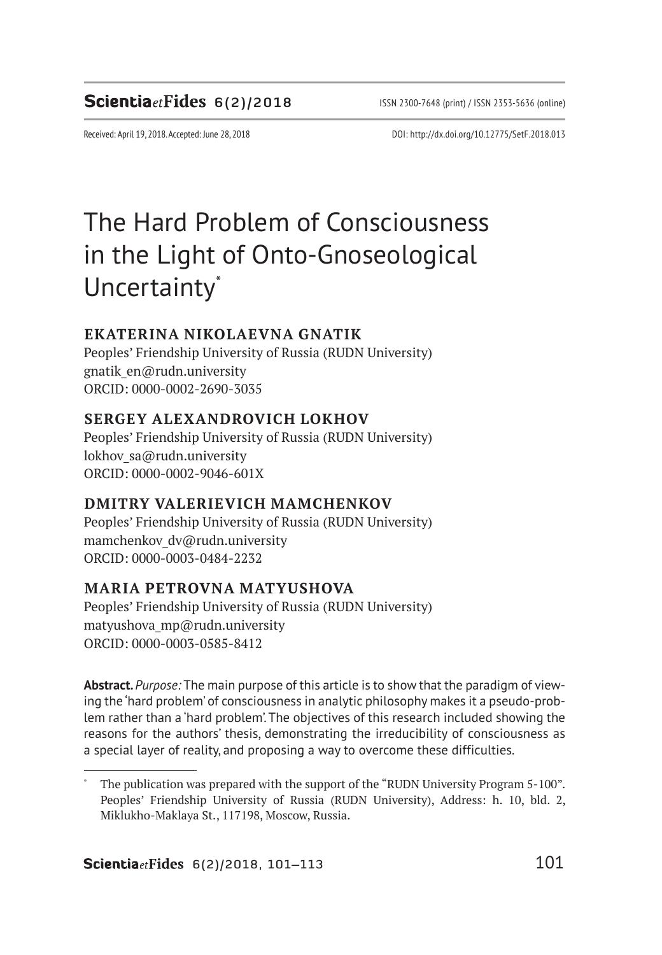## **Scientia**etFides 6(2)/2018 ISSN 2300-7648 (print) / ISSN 2353-5636 (online)

Received: April 19, 2018. Accepted: June 28, 2018 DOI: http://dx.doi.org/10.12775/SetF.2018.013

# The Hard Problem of Consciousness in the Light of Onto-Gnoseological Uncertainty<sup>\*</sup>

#### **EKATERINA NIKOLAEVNA GNATIK**

Peoples' Friendship University of Russia (RUDN University) gnatik\_en@rudn.university ORCID: 0000-0002-2690-3035

#### **SERGEY ALEXANDROVICH LOKHOV**

Peoples' Friendship University of Russia (RUDN University) lokhov sa@rudn.university ORCID: 0000-0002-9046-601X

#### **DMITRY VALERIEVICH MAMCHENKOV**

Peoples' Friendship University of Russia (RUDN University) mamchenkov dv@rudn.university ORCID: 0000-0003-0484-2232

#### **MARIA PETROVNA MATYUSHOVA**

Peoples' Friendship University of Russia (RUDN University) matyushova\_mp@rudn.university ORCID: 0000-0003-0585-8412

**Abstract.** *Purpose:* The main purpose of this article is to show that the paradigm of viewing the 'hard problem' of consciousness in analytic philosophy makes it a pseudo-problem rather than a 'hard problem'. The objectives of this research included showing the reasons for the authors' thesis, demonstrating the irreducibility of consciousness as a special layer of reality, and proposing a way to overcome these difficulties.

The publication was prepared with the support of the "RUDN University Program 5-100". Peoples' Friendship University of Russia (RUDN University), Address: h. 10, bld. 2, Miklukho-Maklaya St., 117198, Moscow, Russia.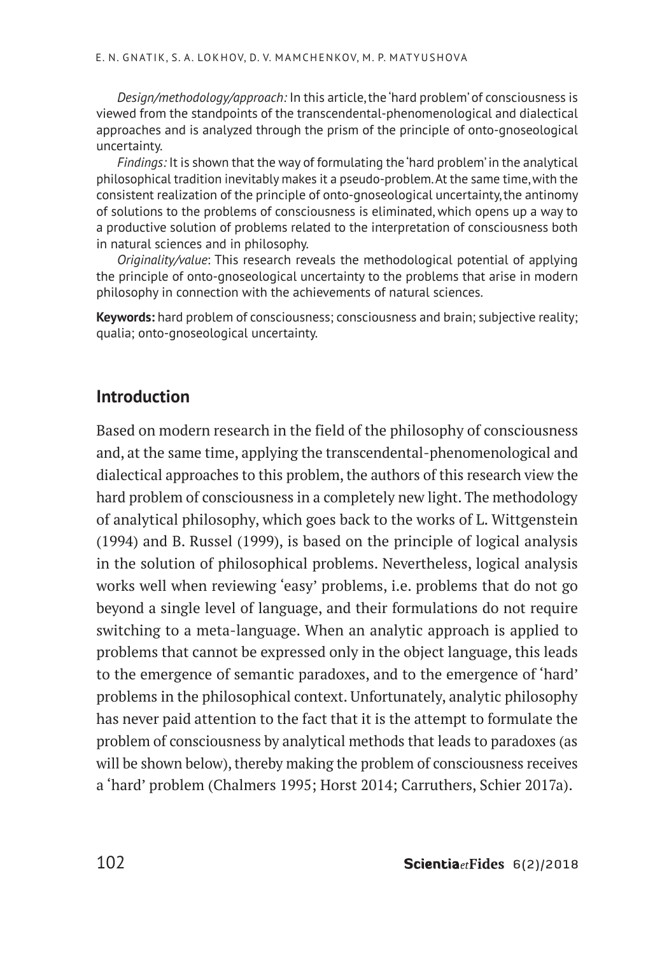*Design/methodology/approach:* In this article, the 'hard problem' of consciousness is viewed from the standpoints of the transcendental-phenomenological and dialectical approaches and is analyzed through the prism of the principle of onto-gnoseological uncertainty.

*Findings:* It is shown that the way of formulating the 'hard problem' in the analytical philosophical tradition inevitably makes it a pseudo-problem. At the same time, with the consistent realization of the principle of onto-gnoseological uncertainty, the antinomy of solutions to the problems of consciousness is eliminated, which opens up a way to a productive solution of problems related to the interpretation of consciousness both in natural sciences and in philosophy.

*Originality/value*: This research reveals the methodological potential of applying the principle of onto-gnoseological uncertainty to the problems that arise in modern philosophy in connection with the achievements of natural sciences.

**Keywords:** hard problem of consciousness; consciousness and brain; subjective reality; qualia; onto-gnoseological uncertainty.

## **Introduction**

Based on modern research in the field of the philosophy of consciousness and, at the same time, applying the transcendental-phenomenological and dialectical approaches to this problem, the authors of this research view the hard problem of consciousness in a completely new light. The methodology of analytical philosophy, which goes back to the works of L. Wittgenstein (1994) and B. Russel (1999), is based on the principle of logical analysis in the solution of philosophical problems. Nevertheless, logical analysis works well when reviewing 'easy' problems, i.e. problems that do not go beyond a single level of language, and their formulations do not require switching to a meta-language. When an analytic approach is applied to problems that cannot be expressed only in the object language, this leads to the emergence of semantic paradoxes, and to the emergence of 'hard' problems in the philosophical context. Unfortunately, analytic philosophy has never paid attention to the fact that it is the attempt to formulate the problem of consciousness by analytical methods that leads to paradoxes (as will be shown below), thereby making the problem of consciousness receives a 'hard' problem (Chalmers 1995; Horst 2014; Carruthers, Schier 2017a).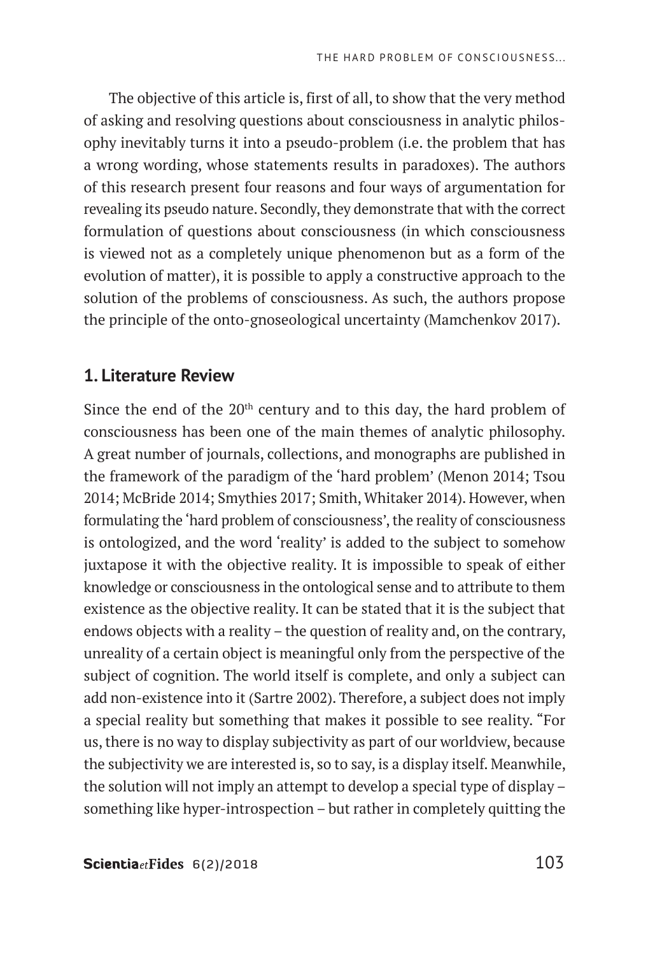The objective of this article is, first of all, to show that the very method of asking and resolving questions about consciousness in analytic philosophy inevitably turns it into a pseudo-problem (i.e. the problem that has a wrong wording, whose statements results in paradoxes). The authors of this research present four reasons and four ways of argumentation for revealing its pseudo nature. Secondly, they demonstrate that with the correct formulation of questions about consciousness (in which consciousness is viewed not as a completely unique phenomenon but as a form of the evolution of matter), it is possible to apply a constructive approach to the solution of the problems of consciousness. As such, the authors propose the principle of the onto-gnoseological uncertainty (Mamchenkov 2017).

#### **1. Literature Review**

Since the end of the  $20<sup>th</sup>$  century and to this day, the hard problem of consciousness has been one of the main themes of analytic philosophy. A great number of journals, collections, and monographs are published in the framework of the paradigm of the 'hard problem' (Menon 2014; Tsou 2014; McBride 2014; Smythies 2017; Smith, Whitaker 2014). However, when formulating the 'hard problem of consciousness', the reality of consciousness is ontologized, and the word 'reality' is added to the subject to somehow juxtapose it with the objective reality. It is impossible to speak of either knowledge or consciousness in the ontological sense and to attribute to them existence as the objective reality. It can be stated that it is the subject that endows objects with a reality – the question of reality and, on the contrary, unreality of a certain object is meaningful only from the perspective of the subject of cognition. The world itself is complete, and only a subject can add non-existence into it (Sartre 2002). Therefore, a subject does not imply a special reality but something that makes it possible to see reality. "For us, there is no way to display subjectivity as part of our worldview, because the subjectivity we are interested is, so to say, is a display itself. Meanwhile, the solution will not imply an attempt to develop a special type of display – something like hyper-introspection – but rather in completely quitting the

ScientiaetFides  $6(2)/2018$  103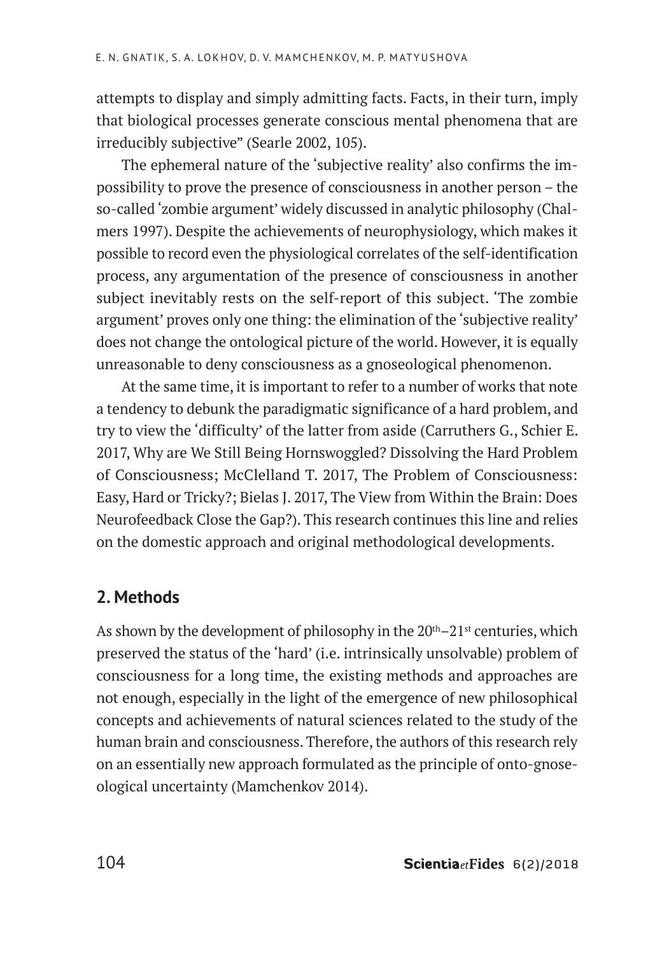attempts to display and simply admitting facts. Facts, in their turn, imply that biological processes generate conscious mental phenomena that are irreducibly subjective" (Searle 2002, 105).

The ephemeral nature of the 'subjective reality' also confirms the impossibility to prove the presence of consciousness in another person – the so-called 'zombie argument' widely discussed in analytic philosophy (Chalmers 1997). Despite the achievements of neurophysiology, which makes it possible to record even the physiological correlates of the self-identification process, any argumentation of the presence of consciousness in another subject inevitably rests on the self-report of this subject. 'The zombie argument' proves only one thing: the elimination of the 'subjective reality' does not change the ontological picture of the world. However, it is equally unreasonable to deny consciousness as a gnoseological phenomenon.

At the same time, it is important to refer to a number of works that note a tendency to debunk the paradigmatic significance of a hard problem, and try to view the 'difficulty' of the latter from aside (Carruthers G., Schier E. 2017, Why are We Still Being Hornswoggled? Dissolving the Hard Problem of Consciousness; McClelland T. 2017, The Problem of Consciousness: Easy, Hard or Tricky?; Bielas J. 2017, The View from Within the Brain: Does Neurofeedback Close the Gap?). This research continues this line and relies on the domestic approach and original methodological developments.

## **2. Methods**

As shown by the development of philosophy in the  $20<sup>th</sup>-21<sup>st</sup>$  centuries, which preserved the status of the 'hard' (i.e. intrinsically unsolvable) problem of consciousness for a long time, the existing methods and approaches are not enough, especially in the light of the emergence of new philosophical concepts and achievements of natural sciences related to the study of the human brain and consciousness. Therefore, the authors of this research rely on an essentially new approach formulated as the principle of onto-gnoseological uncertainty (Mamchenkov 2014).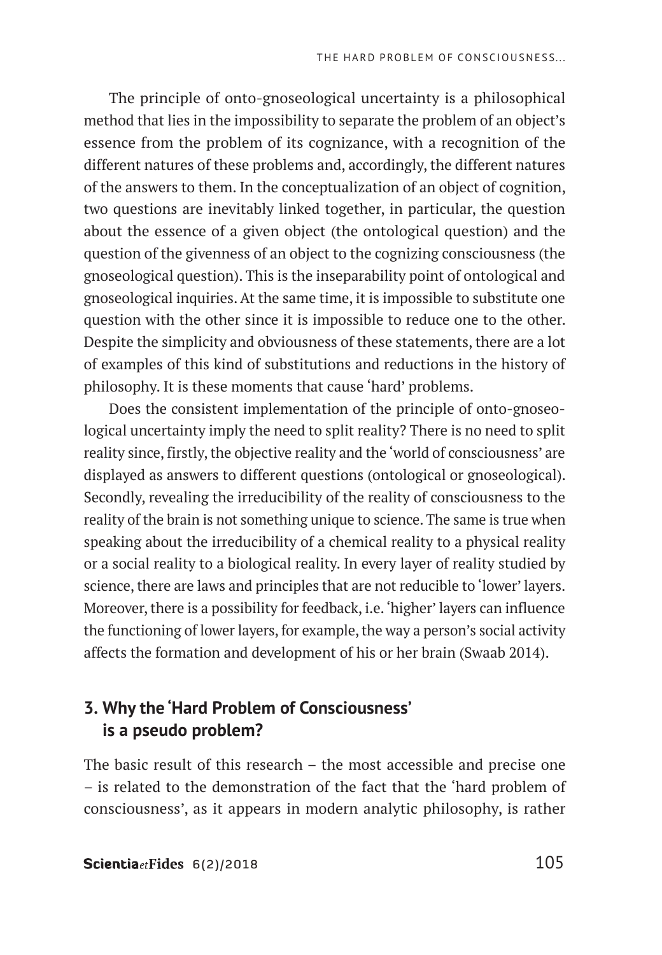The principle of onto-gnoseological uncertainty is a philosophical method that lies in the impossibility to separate the problem of an object's essence from the problem of its cognizance, with a recognition of the different natures of these problems and, accordingly, the different natures of the answers to them. In the conceptualization of an object of cognition, two questions are inevitably linked together, in particular, the question about the essence of a given object (the ontological question) and the question of the givenness of an object to the cognizing consciousness (the gnoseological question). This is the inseparability point of ontological and gnoseological inquiries. At the same time, it is impossible to substitute one question with the other since it is impossible to reduce one to the other. Despite the simplicity and obviousness of these statements, there are a lot of examples of this kind of substitutions and reductions in the history of philosophy. It is these moments that cause 'hard' problems.

Does the consistent implementation of the principle of onto-gnoseological uncertainty imply the need to split reality? There is no need to split reality since, firstly, the objective reality and the 'world of consciousness' are displayed as answers to different questions (ontological or gnoseological). Secondly, revealing the irreducibility of the reality of consciousness to the reality of the brain is not something unique to science. The same is true when speaking about the irreducibility of a chemical reality to a physical reality or a social reality to a biological reality. In every layer of reality studied by science, there are laws and principles that are not reducible to 'lower' layers. Moreover, there is a possibility for feedback, i.e. 'higher' layers can influence the functioning of lower layers, for example, the way a person's social activity affects the formation and development of his or her brain (Swaab 2014).

# **3. Why the 'Hard Problem of Consciousness' is a pseudo problem?**

The basic result of this research – the most accessible and precise one – is related to the demonstration of the fact that the 'hard problem of consciousness', as it appears in modern analytic philosophy, is rather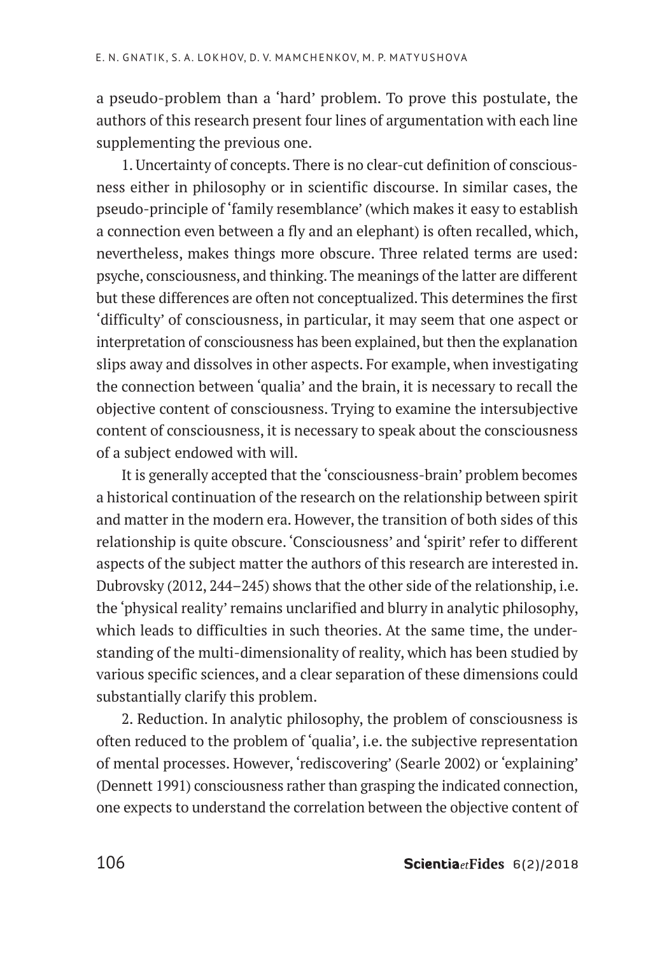a pseudo-problem than a 'hard' problem. To prove this postulate, the authors of this research present four lines of argumentation with each line supplementing the previous one.

1. Uncertainty of concepts. There is no clear-cut definition of consciousness either in philosophy or in scientific discourse. In similar cases, the pseudo-principle of 'family resemblance' (which makes it easy to establish a connection even between a fly and an elephant) is often recalled, which, nevertheless, makes things more obscure. Three related terms are used: psyche, consciousness, and thinking. The meanings of the latter are different but these differences are often not conceptualized. This determines the first 'difficulty' of consciousness, in particular, it may seem that one aspect or interpretation of consciousness has been explained, but then the explanation slips away and dissolves in other aspects. For example, when investigating the connection between 'qualia' and the brain, it is necessary to recall the objective content of consciousness. Trying to examine the intersubjective content of consciousness, it is necessary to speak about the consciousness of a subject endowed with will.

It is generally accepted that the 'consciousness-brain' problem becomes a historical continuation of the research on the relationship between spirit and matter in the modern era. However, the transition of both sides of this relationship is quite obscure. 'Consciousness' and 'spirit' refer to different aspects of the subject matter the authors of this research are interested in. Dubrovsky (2012, 244–245) shows that the other side of the relationship, i.e. the 'physical reality' remains unclarified and blurry in analytic philosophy, which leads to difficulties in such theories. At the same time, the understanding of the multi-dimensionality of reality, which has been studied by various specific sciences, and a clear separation of these dimensions could substantially clarify this problem.

2. Reduction. In analytic philosophy, the problem of consciousness is often reduced to the problem of 'qualia', i.e. the subjective representation of mental processes. However, 'rediscovering' (Searle 2002) or 'explaining' (Dennett 1991) consciousness rather than grasping the indicated connection, one expects to understand the correlation between the objective content of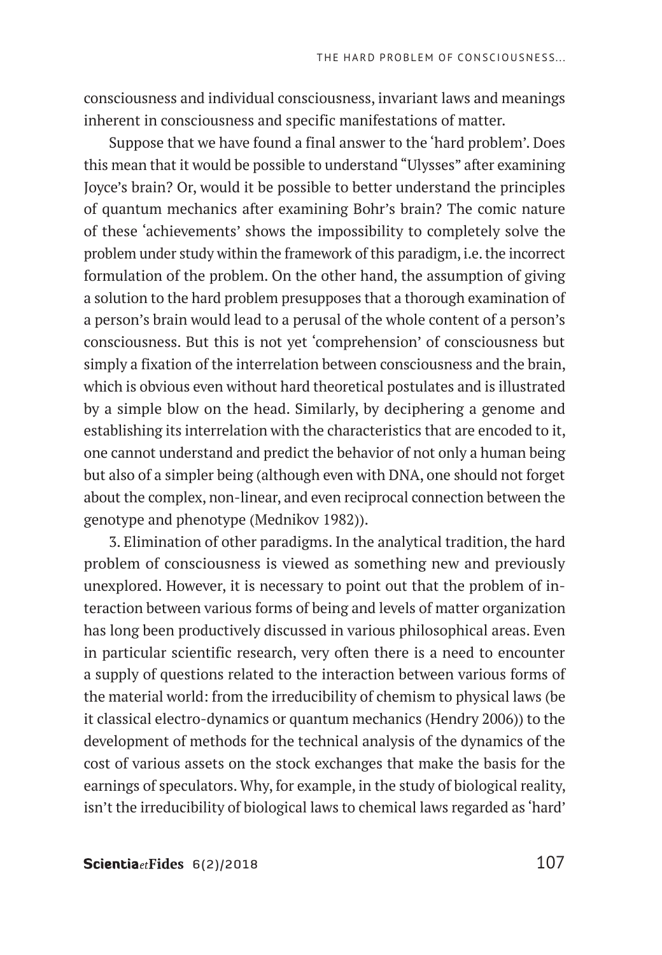consciousness and individual consciousness, invariant laws and meanings inherent in consciousness and specific manifestations of matter.

Suppose that we have found a final answer to the 'hard problem'. Does this mean that it would be possible to understand "Ulysses" after examining Joyce's brain? Or, would it be possible to better understand the principles of quantum mechanics after examining Bohr's brain? The comic nature of these 'achievements' shows the impossibility to completely solve the problem under study within the framework of this paradigm, i.e. the incorrect formulation of the problem. On the other hand, the assumption of giving a solution to the hard problem presupposes that a thorough examination of a person's brain would lead to a perusal of the whole content of a person's consciousness. But this is not yet 'comprehension' of consciousness but simply a fixation of the interrelation between consciousness and the brain, which is obvious even without hard theoretical postulates and is illustrated by a simple blow on the head. Similarly, by deciphering a genome and establishing its interrelation with the characteristics that are encoded to it, one cannot understand and predict the behavior of not only a human being but also of a simpler being (although even with DNA, one should not forget about the complex, non-linear, and even reciprocal connection between the genotype and phenotype (Mednikov 1982)).

3. Elimination of other paradigms. In the analytical tradition, the hard problem of consciousness is viewed as something new and previously unexplored. However, it is necessary to point out that the problem of interaction between various forms of being and levels of matter organization has long been productively discussed in various philosophical areas. Even in particular scientific research, very often there is a need to encounter a supply of questions related to the interaction between various forms of the material world: from the irreducibility of chemism to physical laws (be it classical electro-dynamics or quantum mechanics (Hendry 2006)) to the development of methods for the technical analysis of the dynamics of the cost of various assets on the stock exchanges that make the basis for the earnings of speculators. Why, for example, in the study of biological reality, isn't the irreducibility of biological laws to chemical laws regarded as 'hard'

Scientia $et$ Fides  $6(2)/2018$  107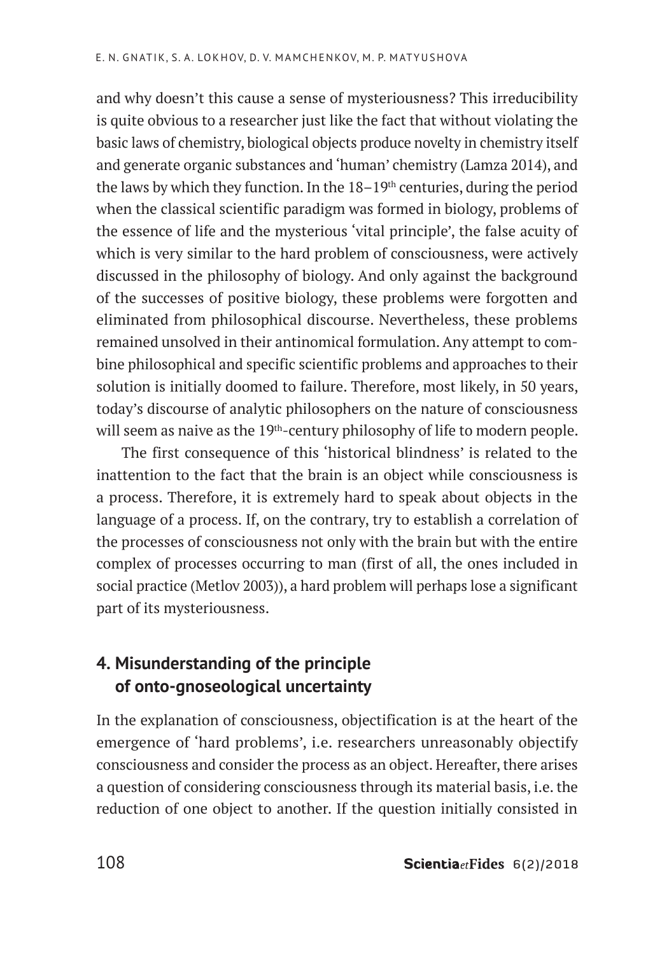and why doesn't this cause a sense of mysteriousness? This irreducibility is quite obvious to a researcher just like the fact that without violating the basic laws of chemistry, biological objects produce novelty in chemistry itself and generate organic substances and 'human' chemistry (Lamza 2014), and the laws by which they function. In the  $18-19<sup>th</sup>$  centuries, during the period when the classical scientific paradigm was formed in biology, problems of the essence of life and the mysterious 'vital principle', the false acuity of which is very similar to the hard problem of consciousness, were actively discussed in the philosophy of biology. And only against the background of the successes of positive biology, these problems were forgotten and eliminated from philosophical discourse. Nevertheless, these problems remained unsolved in their antinomical formulation. Any attempt to combine philosophical and specific scientific problems and approaches to their solution is initially doomed to failure. Therefore, most likely, in 50 years, today's discourse of analytic philosophers on the nature of consciousness will seem as naive as the 19<sup>th</sup>-century philosophy of life to modern people.

The first consequence of this 'historical blindness' is related to the inattention to the fact that the brain is an object while consciousness is a process. Therefore, it is extremely hard to speak about objects in the language of a process. If, on the contrary, try to establish a correlation of the processes of consciousness not only with the brain but with the entire complex of processes occurring to man (first of all, the ones included in social practice (Metlov 2003)), a hard problem will perhaps lose a significant part of its mysteriousness.

# **4. Misunderstanding of the principle of onto-gnoseological uncertainty**

In the explanation of consciousness, objectification is at the heart of the emergence of 'hard problems', i.e. researchers unreasonably objectify consciousness and consider the process as an object. Hereafter, there arises a question of considering consciousness through its material basis, i.e. the reduction of one object to another. If the question initially consisted in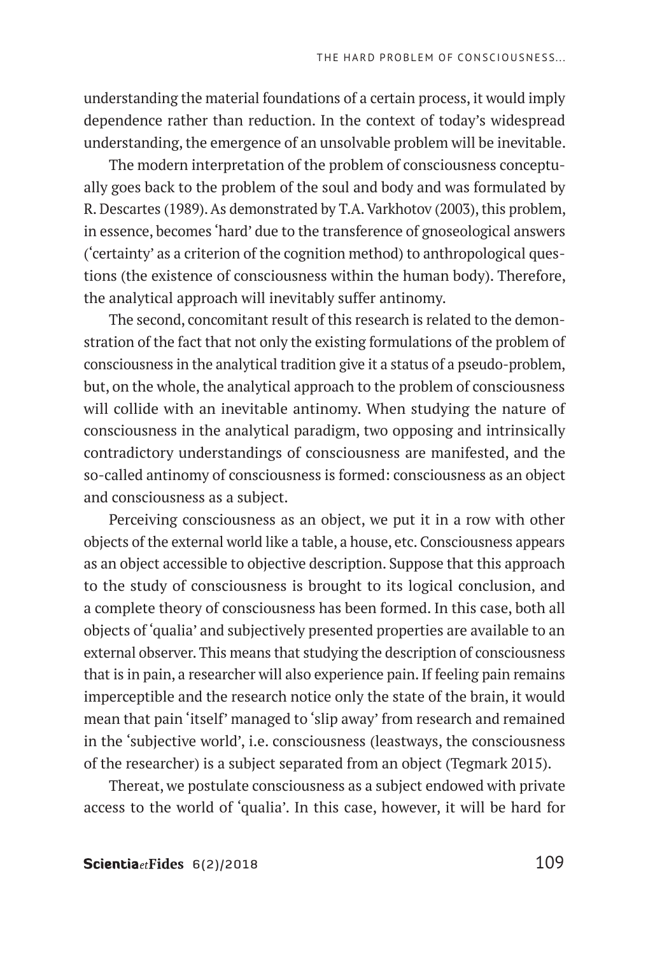understanding the material foundations of a certain process, it would imply dependence rather than reduction. In the context of today's widespread understanding, the emergence of an unsolvable problem will be inevitable.

The modern interpretation of the problem of consciousness conceptually goes back to the problem of the soul and body and was formulated by R. Descartes (1989). As demonstrated by T.A. Varkhotov (2003), this problem, in essence, becomes 'hard' due to the transference of gnoseological answers ('certainty' as a criterion of the cognition method) to anthropological questions (the existence of consciousness within the human body). Therefore, the analytical approach will inevitably suffer antinomy.

The second, concomitant result of this research is related to the demonstration of the fact that not only the existing formulations of the problem of consciousness in the analytical tradition give it a status of a pseudo-problem, but, on the whole, the analytical approach to the problem of consciousness will collide with an inevitable antinomy. When studying the nature of consciousness in the analytical paradigm, two opposing and intrinsically contradictory understandings of consciousness are manifested, and the so-called antinomy of consciousness is formed: consciousness as an object and consciousness as a subject.

Perceiving consciousness as an object, we put it in a row with other objects of the external world like a table, a house, etc. Consciousness appears as an object accessible to objective description. Suppose that this approach to the study of consciousness is brought to its logical conclusion, and a complete theory of consciousness has been formed. In this case, both all objects of 'qualia' and subjectively presented properties are available to an external observer. This means that studying the description of consciousness that is in pain, a researcher will also experience pain. If feeling pain remains imperceptible and the research notice only the state of the brain, it would mean that pain 'itself' managed to 'slip away' from research and remained in the 'subjective world', i.e. consciousness (leastways, the consciousness of the researcher) is a subject separated from an object (Tegmark 2015).

Thereat, we postulate consciousness as a subject endowed with private access to the world of 'qualia'. In this case, however, it will be hard for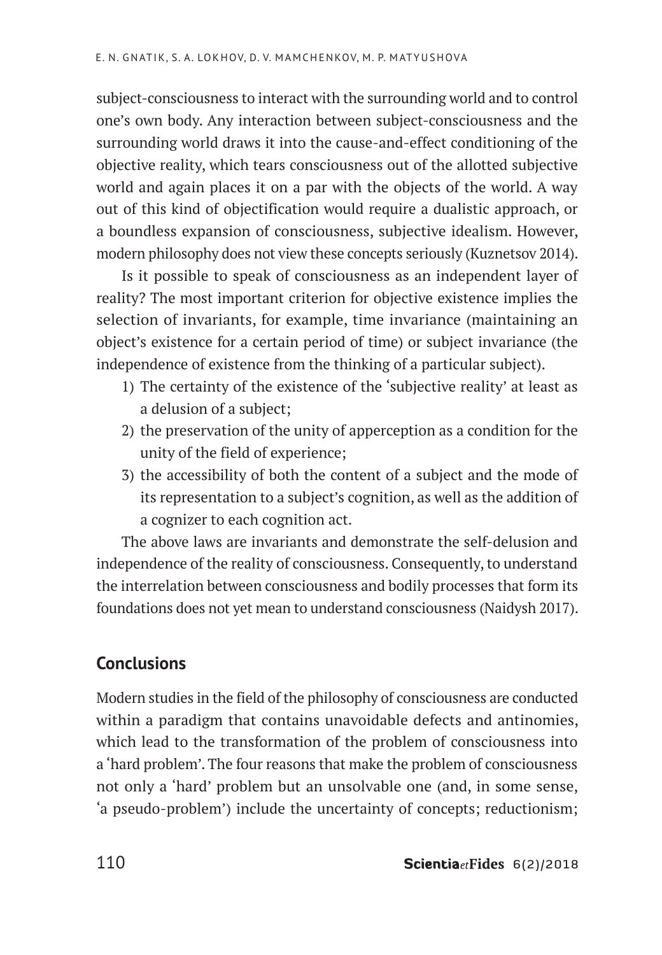subject-consciousness to interact with the surrounding world and to control one's own body. Any interaction between subject-consciousness and the surrounding world draws it into the cause-and-effect conditioning of the objective reality, which tears consciousness out of the allotted subjective world and again places it on a par with the objects of the world. A way out of this kind of objectification would require a dualistic approach, or a boundless expansion of consciousness, subjective idealism. However, modern philosophy does not view these concepts seriously (Kuznetsov 2014).

Is it possible to speak of consciousness as an independent layer of reality? The most important criterion for objective existence implies the selection of invariants, for example, time invariance (maintaining an object's existence for a certain period of time) or subject invariance (the independence of existence from the thinking of a particular subject).

- 1) The certainty of the existence of the 'subjective reality' at least as a delusion of a subject;
- 2) the preservation of the unity of apperception as a condition for the unity of the field of experience;
- 3) the accessibility of both the content of a subject and the mode of its representation to a subject's cognition, as well as the addition of a cognizer to each cognition act.

The above laws are invariants and demonstrate the self-delusion and independence of the reality of consciousness. Consequently, to understand the interrelation between consciousness and bodily processes that form its foundations does not yet mean to understand consciousness (Naidysh 2017).

# **Conclusions**

Modern studies in the field of the philosophy of consciousness are conducted within a paradigm that contains unavoidable defects and antinomies, which lead to the transformation of the problem of consciousness into a 'hard problem'. The four reasons that make the problem of consciousness not only a 'hard' problem but an unsolvable one (and, in some sense, 'a pseudo-problem') include the uncertainty of concepts; reductionism;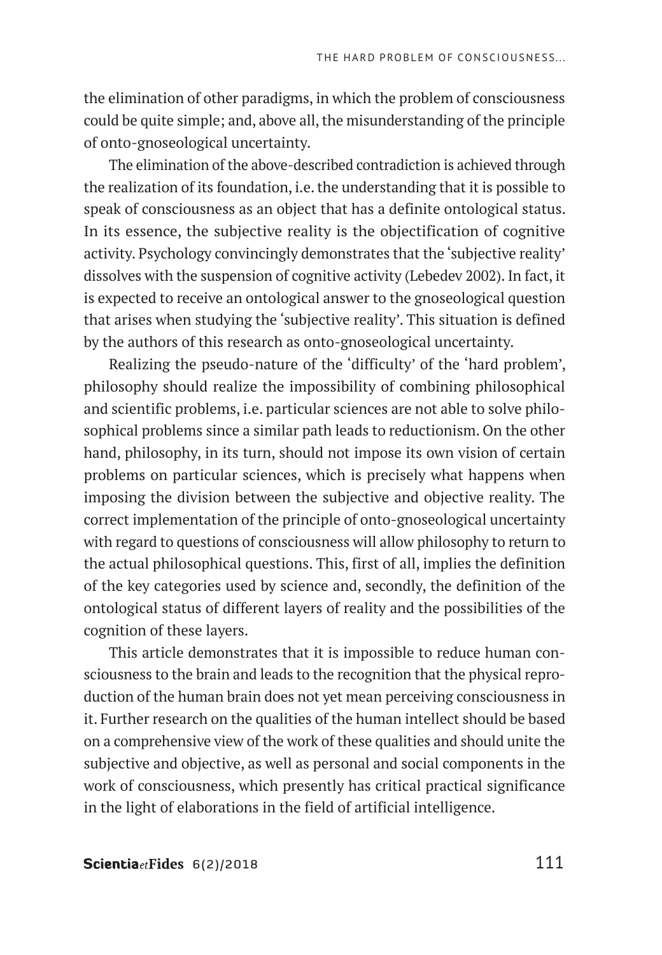the elimination of other paradigms, in which the problem of consciousness could be quite simple; and, above all, the misunderstanding of the principle of onto-gnoseological uncertainty.

The elimination of the above-described contradiction is achieved through the realization of its foundation, i.e. the understanding that it is possible to speak of consciousness as an object that has a definite ontological status. In its essence, the subjective reality is the objectification of cognitive activity. Psychology convincingly demonstrates that the 'subjective reality' dissolves with the suspension of cognitive activity (Lebedev 2002). In fact, it is expected to receive an ontological answer to the gnoseological question that arises when studying the 'subjective reality'. This situation is defined by the authors of this research as onto-gnoseological uncertainty.

Realizing the pseudo-nature of the 'difficulty' of the 'hard problem', philosophy should realize the impossibility of combining philosophical and scientific problems, i.e. particular sciences are not able to solve philosophical problems since a similar path leads to reductionism. On the other hand, philosophy, in its turn, should not impose its own vision of certain problems on particular sciences, which is precisely what happens when imposing the division between the subjective and objective reality. The correct implementation of the principle of onto-gnoseological uncertainty with regard to questions of consciousness will allow philosophy to return to the actual philosophical questions. This, first of all, implies the definition of the key categories used by science and, secondly, the definition of the ontological status of different layers of reality and the possibilities of the cognition of these layers.

This article demonstrates that it is impossible to reduce human consciousness to the brain and leads to the recognition that the physical reproduction of the human brain does not yet mean perceiving consciousness in it. Further research on the qualities of the human intellect should be based on a comprehensive view of the work of these qualities and should unite the subjective and objective, as well as personal and social components in the work of consciousness, which presently has critical practical significance in the light of elaborations in the field of artificial intelligence.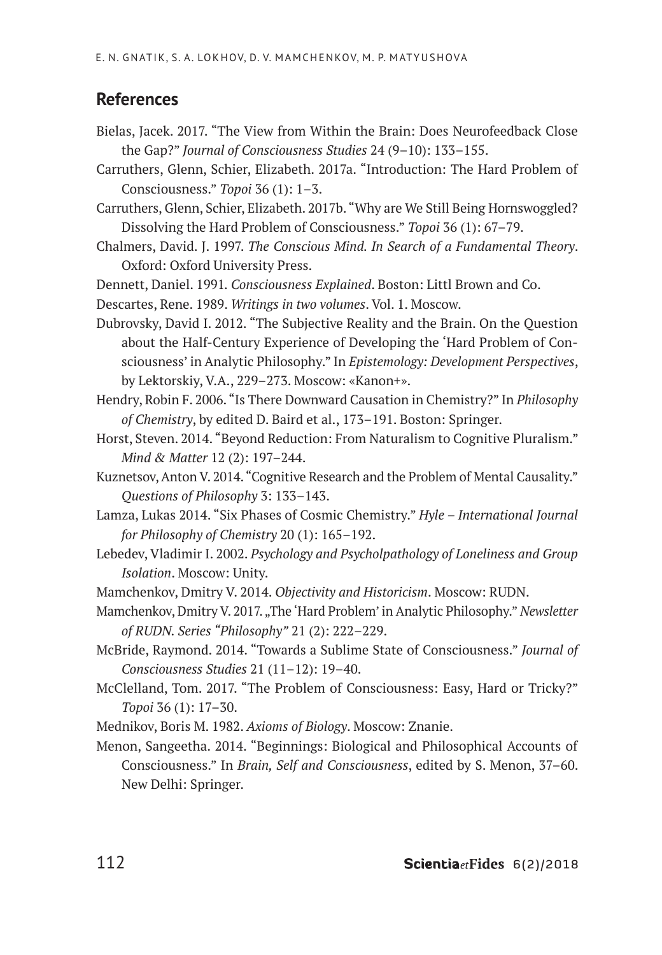# **References**

- Bielas, Jacek. 2017. "The View from Within the Brain: Does Neurofeedback Close the Gap?" *Journal of Consciousness Studies* 24 (9–10): 133–155.
- Carruthers, Glenn, Schier, Elizabeth. 2017a. "Introduction: The Hard Problem of Consciousness." *Topoi* 36 (1): 1–3.
- Carruthers, Glenn, Schier, Elizabeth. 2017b. "Why are We Still Being Hornswoggled? Dissolving the Hard Problem of Consciousness." *Topoi* 36 (1): 67–79.
- Chalmers, David. J. 1997. *The Conscious Mind. In Search of a Fundamental Theory*. Oxford: Oxford University Press.
- Dennett, Daniel. 1991*. Consciousness Explained*. Boston: Littl Brown and Co.
- Descartes, Rene. 1989. *Writings in two volumes*. Vol. 1. Moscow.
- Dubrovsky, David I. 2012. "The Subjective Reality and the Brain. On the Question about the Half-Century Experience of Developing the 'Hard Problem of Consciousness' in Analytic Philosophy." In *Epistemology: Development Perspectives*, by Lektorskiy, V.A., 229–273. Moscow: «Kanon+».
- Hendry, Robin F. 2006. "Is There Downward Causation in Chemistry?" In *Philosophy of Chemistry*, by edited D. Baird et al., 173–191. Boston: Springer.
- Horst, Steven. 2014. "Beyond Reduction: From Naturalism to Cognitive Pluralism." *Mind & Matter* 12 (2): 197–244.
- Kuznetsov, Anton V. 2014. "Cognitive Research and the Problem of Mental Causality." *Questions of Philosophy* 3: 133–143.
- Lamza, Lukas 2014. "Six Phases of Cosmic Chemistry." *Hyle International Journal for Philosophy of Chemistry* 20 (1): 165–192.
- Lebedev, Vladimir I. 2002. *Psychology and Psycholpathology of Loneliness and Group Isolation*. Moscow: Unity.
- Mamchenkov, Dmitry V. 2014. *Objectivity and Historicism*. Moscow: RUDN.
- Mamchenkov, Dmitry V. 2017. "The 'Hard Problem' in Analytic Philosophy." Newsletter *of RUDN. Series "Philosophy"* 21 (2): 222–229.
- McBride, Raymond. 2014. "Towards a Sublime State of Consciousness." *Journal of Consciousness Studies* 21 (11–12): 19–40.
- McClelland, Tom. 2017. "The Problem of Consciousness: Easy, Hard or Tricky?" *Topoi* 36 (1): 17–30.
- Mednikov, Boris M. 1982. *Axioms of Biology*. Moscow: Znanie.
- Menon, Sangeetha. 2014. "Beginnings: Biological and Philosophical Accounts of Consciousness." In *Brain, Self and Consciousness*, edited by S. Menon, 37–60. New Delhi: Springer.